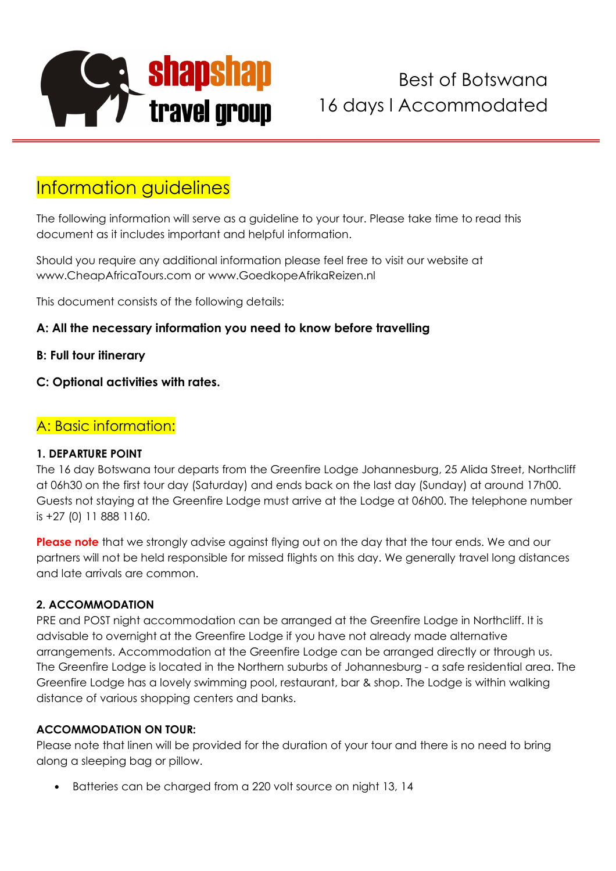

# Information guidelines

The following information will serve as a guideline to your tour. Please take time to read this document as it includes important and helpful information.

Should you require any additional information please feel free to visit our website at www.CheapAfricaTours.com or www.GoedkopeAfrikaReizen.nl

This document consists of the following details:

#### **A: All the necessary information you need to know before travelling**

- **B: Full tour itinerary**
- **C: Optional activities with rates.**

### A: Basic information:

#### **1. DEPARTURE POINT**

The 16 day Botswana tour departs from the Greenfire Lodge Johannesburg, 25 Alida Street, Northcliff at 06h30 on the first tour day (Saturday) and ends back on the last day (Sunday) at around 17h00. Guests not staying at the Greenfire Lodge must arrive at the Lodge at 06h00. The telephone number is +27 (0) 11 888 1160.

**Please note** that we strongly advise against flying out on the day that the tour ends. We and our partners will not be held responsible for missed flights on this day. We generally travel long distances and late arrivals are common.

#### **2. ACCOMMODATION**

PRE and POST night accommodation can be arranged at the Greenfire Lodge in Northcliff. It is advisable to overnight at the Greenfire Lodge if you have not already made alternative arrangements. Accommodation at the Greenfire Lodge can be arranged directly or through us. The Greenfire Lodge is located in the Northern suburbs of Johannesburg - a safe residential area. The Greenfire Lodge has a lovely swimming pool, restaurant, bar & shop. The Lodge is within walking distance of various shopping centers and banks.

#### **ACCOMMODATION ON TOUR:**

Please note that linen will be provided for the duration of your tour and there is no need to bring along a sleeping bag or pillow.

• Batteries can be charged from a 220 volt source on night 13, 14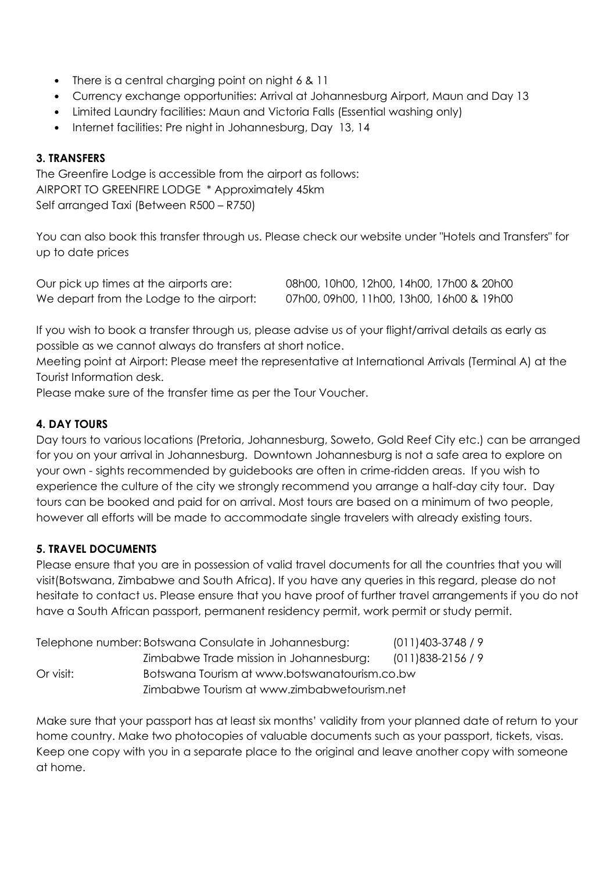- There is a central charging point on night 6 & 11
- Currency exchange opportunities: Arrival at Johannesburg Airport, Maun and Day 13
- Limited Laundry facilities: Maun and Victoria Falls (Essential washing only)
- Internet facilities: Pre night in Johannesburg, Day 13, 14

#### **3. TRANSFERS**

The Greenfire Lodge is accessible from the airport as follows: AIRPORT TO GREENFIRE LODGE \* Approximately 45km Self arranged Taxi (Between R500 – R750)

You can also book this transfer through us. Please check our website under "Hotels and Transfers" for up to date prices

Our pick up times at the airports are: 08h00, 10h00, 12h00, 14h00, 17h00 & 20h00 We depart from the Lodge to the airport: 07h00, 09h00, 11h00, 13h00, 16h00 & 19h00

If you wish to book a transfer through us, please advise us of your flight/arrival details as early as possible as we cannot always do transfers at short notice.

Meeting point at Airport: Please meet the representative at International Arrivals (Terminal A) at the Tourist Information desk.

Please make sure of the transfer time as per the Tour Voucher.

#### **4. DAY TOURS**

Day tours to various locations (Pretoria, Johannesburg, Soweto, Gold Reef City etc.) can be arranged for you on your arrival in Johannesburg. Downtown Johannesburg is not a safe area to explore on your own - sights recommended by guidebooks are often in crime-ridden areas. If you wish to experience the culture of the city we strongly recommend you arrange a half-day city tour. Day tours can be booked and paid for on arrival. Most tours are based on a minimum of two people, however all efforts will be made to accommodate single travelers with already existing tours.

#### **5. TRAVEL DOCUMENTS**

Please ensure that you are in possession of valid travel documents for all the countries that you will visit(Botswana, Zimbabwe and South Africa). If you have any queries in this regard, please do not hesitate to contact us. Please ensure that you have proof of further travel arrangements if you do not have a South African passport, permanent residency permit, work permit or study permit.

| Telephone number: Botswana Consulate in Johannesburg: |                                               | $(011)403-3748/9$ |
|-------------------------------------------------------|-----------------------------------------------|-------------------|
|                                                       | Zimbabwe Trade mission in Johannesburg:       | $(011)838-2156/9$ |
| Or visit:                                             | Botswana Tourism at www.botswanatourism.co.bw |                   |
|                                                       | Zimbabwe Tourism at www.zimbabwetourism.net   |                   |

Make sure that your passport has at least six months' validity from your planned date of return to your home country. Make two photocopies of valuable documents such as your passport, tickets, visas. Keep one copy with you in a separate place to the original and leave another copy with someone at home.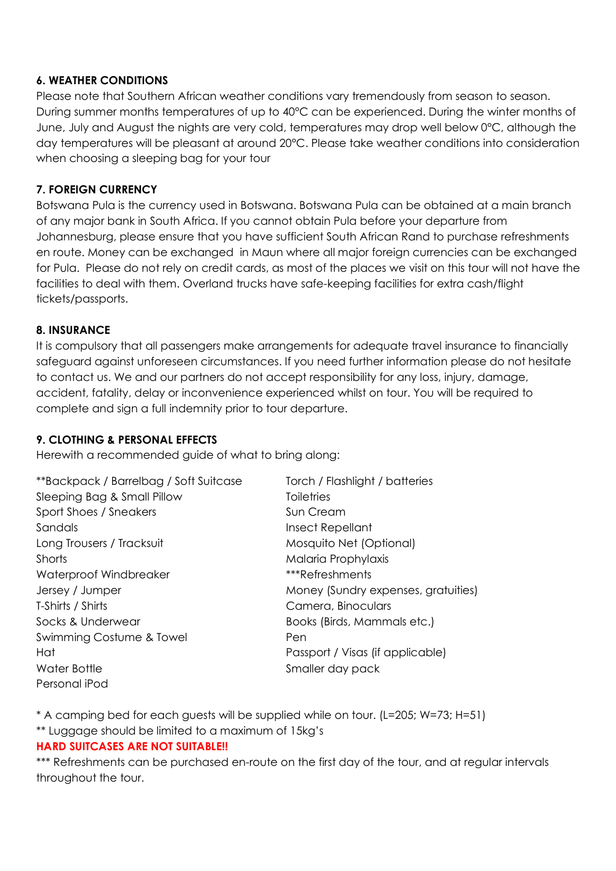#### **6. WEATHER CONDITIONS**

Please note that Southern African weather conditions vary tremendously from season to season. During summer months temperatures of up to 40°C can be experienced. During the winter months of June, July and August the nights are very cold, temperatures may drop well below 0°C, although the day temperatures will be pleasant at around 20°C. Please take weather conditions into consideration when choosing a sleeping bag for your tour

#### **7. FOREIGN CURRENCY**

Botswana Pula is the currency used in Botswana. Botswana Pula can be obtained at a main branch of any major bank in South Africa. If you cannot obtain Pula before your departure from Johannesburg, please ensure that you have sufficient South African Rand to purchase refreshments en route. Money can be exchanged in Maun where all major foreign currencies can be exchanged for Pula. Please do not rely on credit cards, as most of the places we visit on this tour will not have the facilities to deal with them. Overland trucks have safe-keeping facilities for extra cash/flight tickets/passports.

#### **8. INSURANCE**

It is compulsory that all passengers make arrangements for adequate travel insurance to financially safeguard against unforeseen circumstances. If you need further information please do not hesitate to contact us. We and our partners do not accept responsibility for any loss, injury, damage, accident, fatality, delay or inconvenience experienced whilst on tour. You will be required to complete and sign a full indemnity prior to tour departure.

#### **9. CLOTHING & PERSONAL EFFECTS**

Herewith a recommended guide of what to bring along:

\*\*Backpack / Barrelbag / Soft Suitcase Torch / Flashlight / batteries Sleeping Bag & Small Pillow Toiletries Sport Shoes / Sneakers Sun Cream Sandals **Insect Repellant** Long Trousers / Tracksuit Mosquito Net (Optional) Shorts Malaria Prophylaxis Waterproof Windbreaker \*\*\*Refreshments Jersey / Jumper Money (Sundry expenses, gratuities) T-Shirts / Shirts Camera, Binoculars Socks & Underwear **Books (Birds, Mammals etc.)** Swimming Costume & Towel **Example 2** Pen Hat Passport / Visas (if applicable) Water Bottle Smaller day pack Personal iPod

\* A camping bed for each guests will be supplied while on tour. (L=205; W=73; H=51)

\*\* Luggage should be limited to a maximum of 15kg's

#### **HARD SUITCASES ARE NOT SUITABLE!!**

\*\*\* Refreshments can be purchased en-route on the first day of the tour, and at regular intervals throughout the tour.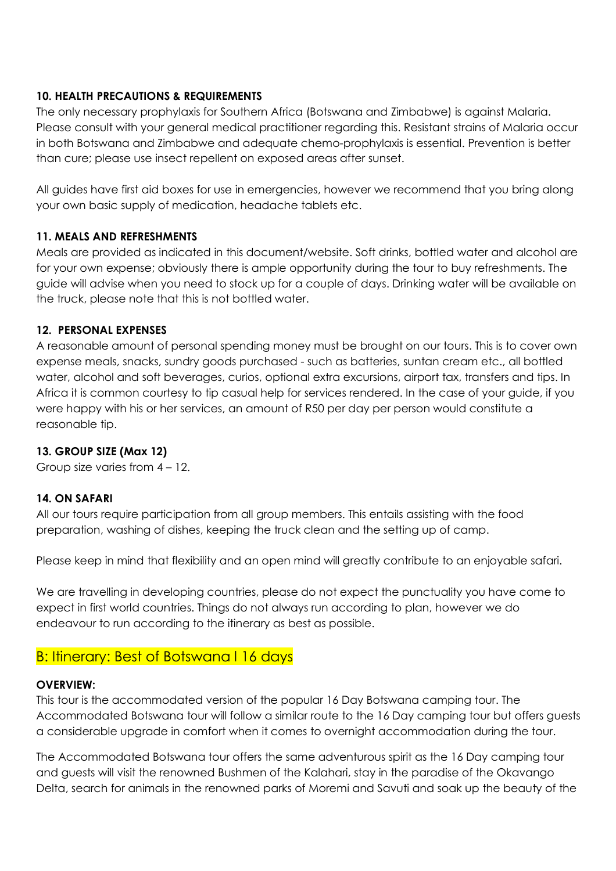#### **10. HEALTH PRECAUTIONS & REQUIREMENTS**

The only necessary prophylaxis for Southern Africa (Botswana and Zimbabwe) is against Malaria. Please consult with your general medical practitioner regarding this. Resistant strains of Malaria occur in both Botswana and Zimbabwe and adequate chemo-prophylaxis is essential. Prevention is better than cure; please use insect repellent on exposed areas after sunset.

All guides have first aid boxes for use in emergencies, however we recommend that you bring along your own basic supply of medication, headache tablets etc.

#### **11. MEALS AND REFRESHMENTS**

Meals are provided as indicated in this document/website. Soft drinks, bottled water and alcohol are for your own expense; obviously there is ample opportunity during the tour to buy refreshments. The guide will advise when you need to stock up for a couple of days. Drinking water will be available on the truck, please note that this is not bottled water.

#### **12. PERSONAL EXPENSES**

A reasonable amount of personal spending money must be brought on our tours. This is to cover own expense meals, snacks, sundry goods purchased - such as batteries, suntan cream etc., all bottled water, alcohol and soft beverages, curios, optional extra excursions, airport tax, transfers and tips. In Africa it is common courtesy to tip casual help for services rendered. In the case of your guide, if you were happy with his or her services, an amount of R50 per day per person would constitute a reasonable tip.

#### **13. GROUP SIZE (Max 12)**

Group size varies from 4 – 12.

#### **14. ON SAFARI**

All our tours require participation from all group members. This entails assisting with the food preparation, washing of dishes, keeping the truck clean and the setting up of camp.

Please keep in mind that flexibility and an open mind will greatly contribute to an enjoyable safari.

We are travelling in developing countries, please do not expect the punctuality you have come to expect in first world countries. Things do not always run according to plan, however we do endeavour to run according to the itinerary as best as possible.

## B: Itinerary: Best of Botswana I 16 days

#### **OVERVIEW:**

This tour is the accommodated version of the popular 16 Day Botswana camping tour. The Accommodated Botswana tour will follow a similar route to the 16 Day camping tour but offers guests a considerable upgrade in comfort when it comes to overnight accommodation during the tour.

The Accommodated Botswana tour offers the same adventurous spirit as the 16 Day camping tour and guests will visit the renowned Bushmen of the Kalahari, stay in the paradise of the Okavango Delta, search for animals in the renowned parks of Moremi and Savuti and soak up the beauty of the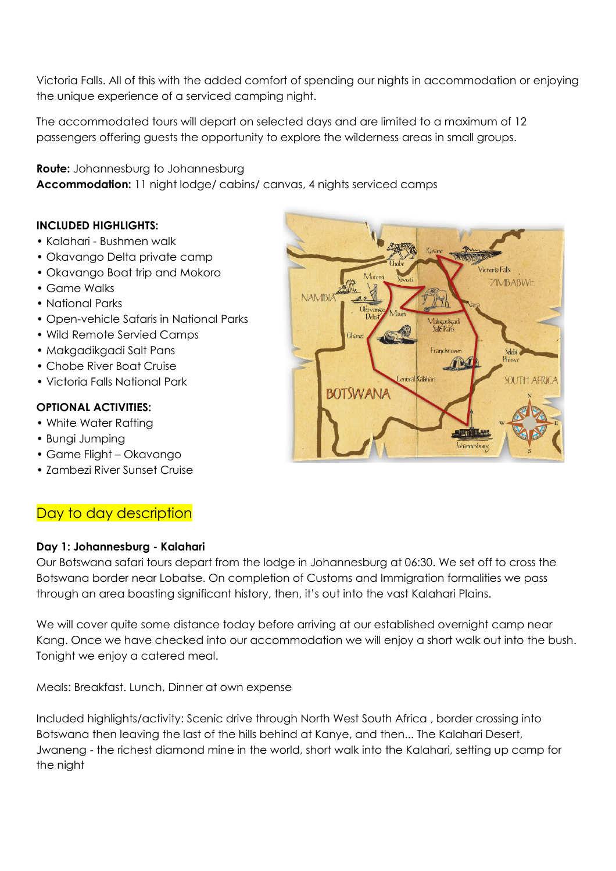Victoria Falls. All of this with the added comfort of spending our nights in accommodation or enjoying the unique experience of a serviced camping night.

The accommodated tours will depart on selected days and are limited to a maximum of 12 passengers offering guests the opportunity to explore the wilderness areas in small groups.

**Route:** Johannesburg to Johannesburg **Accommodation:** 11 night lodge/ cabins/ canvas, 4 nights serviced camps

#### **INCLUDED HIGHLIGHTS:**

- Kalahari Bushmen walk
- Okavango Delta private camp
- Okavango Boat trip and Mokoro
- Game Walks
- National Parks
- Open-vehicle Safaris in National Parks
- Wild Remote Servied Camps
- Makgadikgadi Salt Pans
- Chobe River Boat Cruise
- Victoria Falls National Park

#### **OPTIONAL ACTIVITIES:**

- White Water Rafting
- Bungi Jumping
- Game Flight Okavango
- Zambezi River Sunset Cruise

# Day to day description

#### **Day 1: Johannesburg - Kalahari**

Our Botswana safari tours depart from the lodge in Johannesburg at 06:30. We set off to cross the Botswana border near Lobatse. On completion of Customs and Immigration formalities we pass through an area boasting significant history, then, it's out into the vast Kalahari Plains.

We will cover quite some distance today before arriving at our established overnight camp near Kang. Once we have checked into our accommodation we will enjoy a short walk out into the bush. Tonight we enjoy a catered meal.

Meals: Breakfast. Lunch, Dinner at own expense

Included highlights/activity: Scenic drive through North West South Africa , border crossing into Botswana then leaving the last of the hills behind at Kanye, and then... The Kalahari Desert, Jwaneng - the richest diamond mine in the world, short walk into the Kalahari, setting up camp for the night

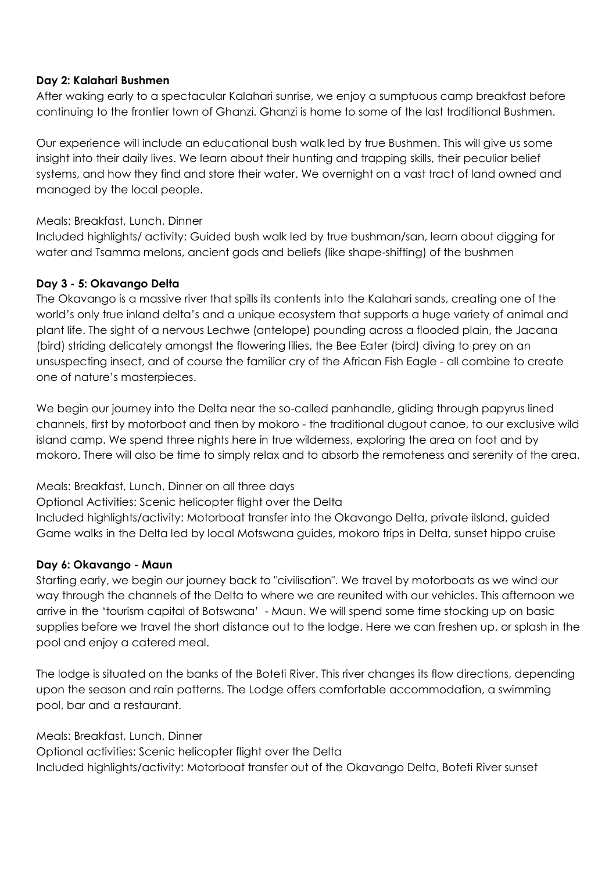#### **Day 2: Kalahari Bushmen**

After waking early to a spectacular Kalahari sunrise, we enjoy a sumptuous camp breakfast before continuing to the frontier town of Ghanzi. Ghanzi is home to some of the last traditional Bushmen.

Our experience will include an educational bush walk led by true Bushmen. This will give us some insight into their daily lives. We learn about their hunting and trapping skills, their peculiar belief systems, and how they find and store their water. We overnight on a vast tract of land owned and managed by the local people.

#### Meals: Breakfast, Lunch, Dinner

Included highlights/ activity: Guided bush walk led by true bushman/san, learn about digging for water and Tsamma melons, ancient gods and beliefs (like shape-shifting) of the bushmen

#### **Day 3 - 5: Okavango Delta**

The Okavango is a massive river that spills its contents into the Kalahari sands, creating one of the world's only true inland delta's and a unique ecosystem that supports a huge variety of animal and plant life. The sight of a nervous Lechwe (antelope) pounding across a flooded plain, the Jacana (bird) striding delicately amongst the flowering lilies, the Bee Eater (bird) diving to prey on an unsuspecting insect, and of course the familiar cry of the African Fish Eagle - all combine to create one of nature's masterpieces.

We begin our journey into the Delta near the so-called panhandle, gliding through papyrus lined channels, first by motorboat and then by mokoro - the traditional dugout canoe, to our exclusive wild island camp. We spend three nights here in true wilderness, exploring the area on foot and by mokoro. There will also be time to simply relax and to absorb the remoteness and serenity of the area.

Meals: Breakfast, Lunch, Dinner on all three days Optional Activities: Scenic helicopter flight over the Delta Included highlights/activity: Motorboat transfer into the Okavango Delta, private iIsland, guided Game walks in the Delta led by local Motswana guides, mokoro trips in Delta, sunset hippo cruise

#### **Day 6: Okavango - Maun**

Starting early, we begin our journey back to "civilisation". We travel by motorboats as we wind our way through the channels of the Delta to where we are reunited with our vehicles. This afternoon we arrive in the 'tourism capital of Botswana' - Maun. We will spend some time stocking up on basic supplies before we travel the short distance out to the lodge. Here we can freshen up, or splash in the pool and enjoy a catered meal.

The lodge is situated on the banks of the Boteti River. This river changes its flow directions, depending upon the season and rain patterns. The Lodge offers comfortable accommodation, a swimming pool, bar and a restaurant.

#### Meals: Breakfast, Lunch, Dinner

Optional activities: Scenic helicopter flight over the Delta Included highlights/activity: Motorboat transfer out of the Okavango Delta, Boteti River sunset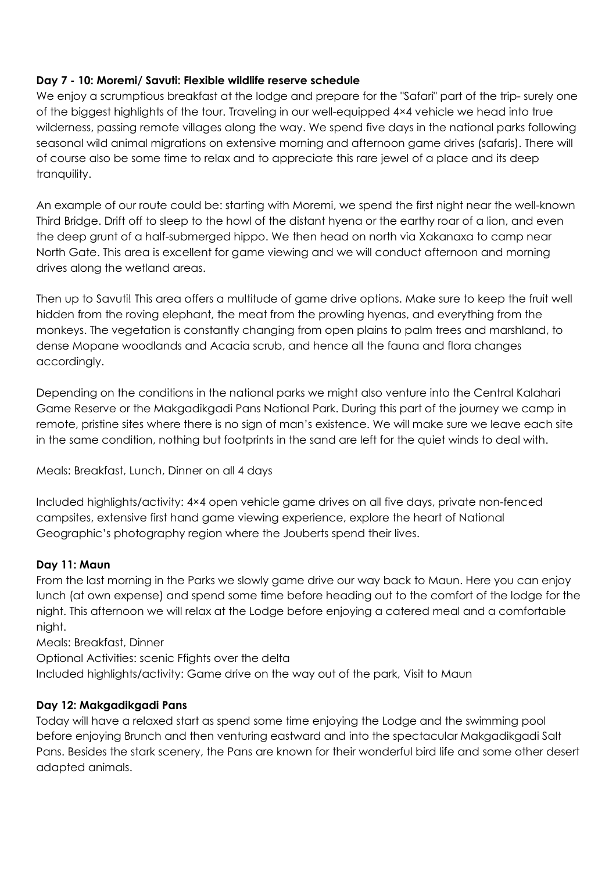#### **Day 7 - 10: Moremi/ Savuti: Flexible wildlife reserve schedule**

We enjoy a scrumptious breakfast at the lodge and prepare for the "Safari" part of the trip- surely one of the biggest highlights of the tour. Traveling in our well-equipped 4×4 vehicle we head into true wilderness, passing remote villages along the way. We spend five days in the national parks following seasonal wild animal migrations on extensive morning and afternoon game drives (safaris). There will of course also be some time to relax and to appreciate this rare jewel of a place and its deep tranquility.

An example of our route could be: starting with Moremi, we spend the first night near the well-known Third Bridge. Drift off to sleep to the howl of the distant hyena or the earthy roar of a lion, and even the deep grunt of a half-submerged hippo. We then head on north via Xakanaxa to camp near North Gate. This area is excellent for game viewing and we will conduct afternoon and morning drives along the wetland areas.

Then up to Savuti! This area offers a multitude of game drive options. Make sure to keep the fruit well hidden from the roving elephant, the meat from the prowling hyenas, and everything from the monkeys. The vegetation is constantly changing from open plains to palm trees and marshland, to dense Mopane woodlands and Acacia scrub, and hence all the fauna and flora changes accordingly.

Depending on the conditions in the national parks we might also venture into the Central Kalahari Game Reserve or the Makgadikgadi Pans National Park. During this part of the journey we camp in remote, pristine sites where there is no sign of man's existence. We will make sure we leave each site in the same condition, nothing but footprints in the sand are left for the quiet winds to deal with.

Meals: Breakfast, Lunch, Dinner on all 4 days

Included highlights/activity: 4×4 open vehicle game drives on all five days, private non-fenced campsites, extensive first hand game viewing experience, explore the heart of National Geographic's photography region where the Jouberts spend their lives.

#### **Day 11: Maun**

From the last morning in the Parks we slowly game drive our way back to Maun. Here you can enjoy lunch (at own expense) and spend some time before heading out to the comfort of the lodge for the night. This afternoon we will relax at the Lodge before enjoying a catered meal and a comfortable night.

Meals: Breakfast, Dinner

Optional Activities: scenic Ffights over the delta Included highlights/activity: Game drive on the way out of the park, Visit to Maun

#### **Day 12: Makgadikgadi Pans**

Today will have a relaxed start as spend some time enjoying the Lodge and the swimming pool before enjoying Brunch and then venturing eastward and into the spectacular Makgadikgadi Salt Pans. Besides the stark scenery, the Pans are known for their wonderful bird life and some other desert adapted animals.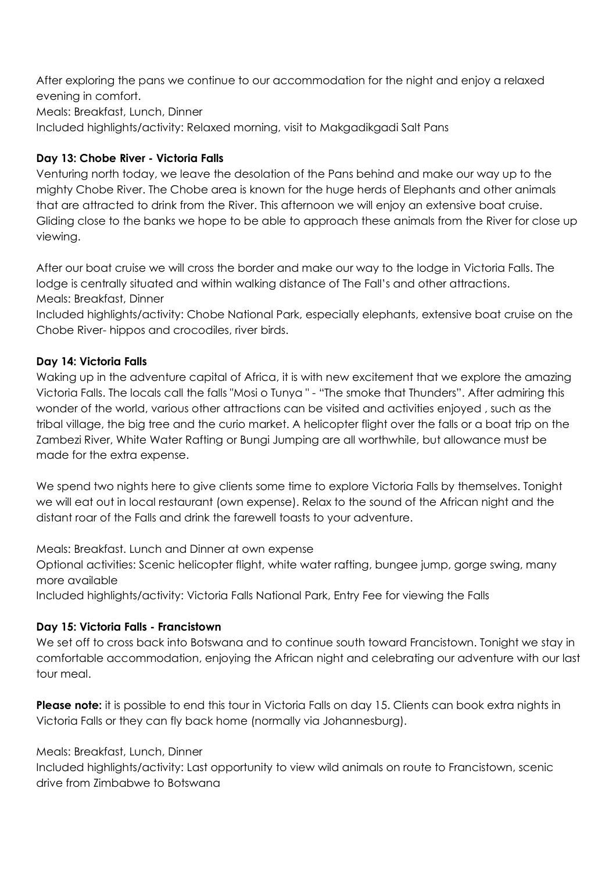After exploring the pans we continue to our accommodation for the night and enjoy a relaxed evening in comfort. Meals: Breakfast, Lunch, Dinner

Included highlights/activity: Relaxed morning, visit to Makgadikgadi Salt Pans

#### **Day 13: Chobe River - Victoria Falls**

Venturing north today, we leave the desolation of the Pans behind and make our way up to the mighty Chobe River. The Chobe area is known for the huge herds of Elephants and other animals that are attracted to drink from the River. This afternoon we will enjoy an extensive boat cruise. Gliding close to the banks we hope to be able to approach these animals from the River for close up viewing.

After our boat cruise we will cross the border and make our way to the lodge in Victoria Falls. The lodge is centrally situated and within walking distance of The Fall's and other attractions. Meals: Breakfast, Dinner

Included highlights/activity: Chobe National Park, especially elephants, extensive boat cruise on the Chobe River- hippos and crocodiles, river birds.

#### **Day 14: Victoria Falls**

Waking up in the adventure capital of Africa, it is with new excitement that we explore the amazing Victoria Falls. The locals call the falls "Mosi o Tunya " - "The smoke that Thunders". After admiring this wonder of the world, various other attractions can be visited and activities enjoyed , such as the tribal village, the big tree and the curio market. A helicopter flight over the falls or a boat trip on the Zambezi River, White Water Rafting or Bungi Jumping are all worthwhile, but allowance must be made for the extra expense.

We spend two nights here to give clients some time to explore Victoria Falls by themselves. Tonight we will eat out in local restaurant (own expense). Relax to the sound of the African night and the distant roar of the Falls and drink the farewell toasts to your adventure.

Meals: Breakfast. Lunch and Dinner at own expense

Optional activities: Scenic helicopter flight, white water rafting, bungee jump, gorge swing, many more available

Included highlights/activity: Victoria Falls National Park, Entry Fee for viewing the Falls

#### **Day 15: Victoria Falls - Francistown**

We set off to cross back into Botswana and to continue south toward Francistown. Tonight we stay in comfortable accommodation, enjoying the African night and celebrating our adventure with our last tour meal.

**Please note:** it is possible to end this tour in Victoria Falls on day 15. Clients can book extra nights in Victoria Falls or they can fly back home (normally via Johannesburg).

#### Meals: Breakfast, Lunch, Dinner

Included highlights/activity: Last opportunity to view wild animals on route to Francistown, scenic drive from Zimbabwe to Botswana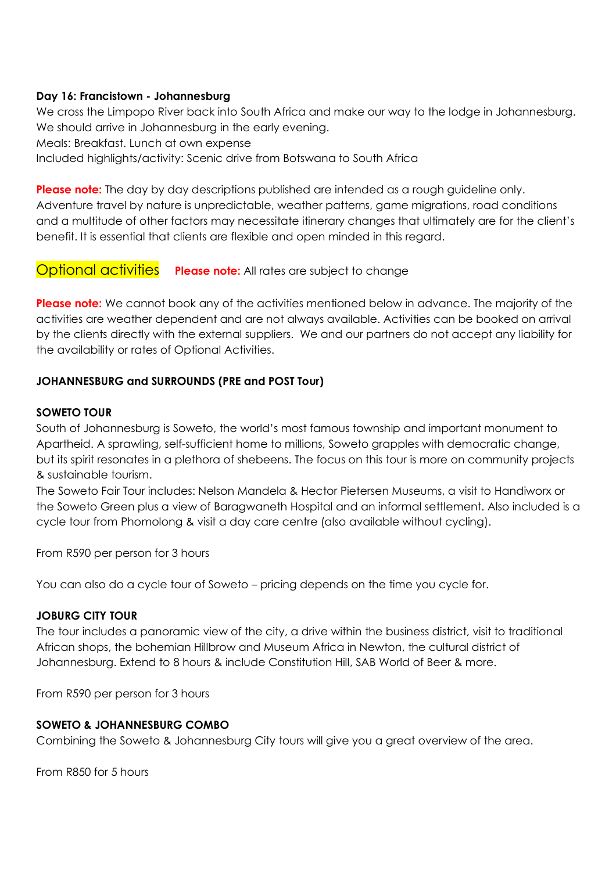#### **Day 16: Francistown - Johannesburg**

We cross the Limpopo River back into South Africa and make our way to the lodge in Johannesburg. We should arrive in Johannesburg in the early evening.

Meals: Breakfast. Lunch at own expense

Included highlights/activity: Scenic drive from Botswana to South Africa

**Please note:** The day by day descriptions published are intended as a rough guideline only. Adventure travel by nature is unpredictable, weather patterns, game migrations, road conditions and a multitude of other factors may necessitate itinerary changes that ultimately are for the client's benefit. It is essential that clients are flexible and open minded in this regard.

#### Optional activities **Please note:** All rates are subject to change

**Please note:** We cannot book any of the activities mentioned below in advance. The majority of the activities are weather dependent and are not always available. Activities can be booked on arrival by the clients directly with the external suppliers. We and our partners do not accept any liability for the availability or rates of Optional Activities.

#### **JOHANNESBURG and SURROUNDS (PRE and POST Tour)**

#### **SOWETO TOUR**

South of Johannesburg is Soweto, the world's most famous township and important monument to Apartheid. A sprawling, self-sufficient home to millions, Soweto grapples with democratic change, but its spirit resonates in a plethora of shebeens. The focus on this tour is more on community projects & sustainable tourism.

The Soweto Fair Tour includes: Nelson Mandela & Hector Pietersen Museums, a visit to Handiworx or the Soweto Green plus a view of Baragwaneth Hospital and an informal settlement. Also included is a cycle tour from Phomolong & visit a day care centre (also available without cycling).

From R590 per person for 3 hours

You can also do a cycle tour of Soweto – pricing depends on the time you cycle for.

#### **JOBURG CITY TOUR**

The tour includes a panoramic view of the city, a drive within the business district, visit to traditional African shops, the bohemian Hillbrow and Museum Africa in Newton, the cultural district of Johannesburg. Extend to 8 hours & include Constitution Hill, SAB World of Beer & more.

From R590 per person for 3 hours

#### **SOWETO & JOHANNESBURG COMBO**

Combining the Soweto & Johannesburg City tours will give you a great overview of the area.

From R850 for 5 hours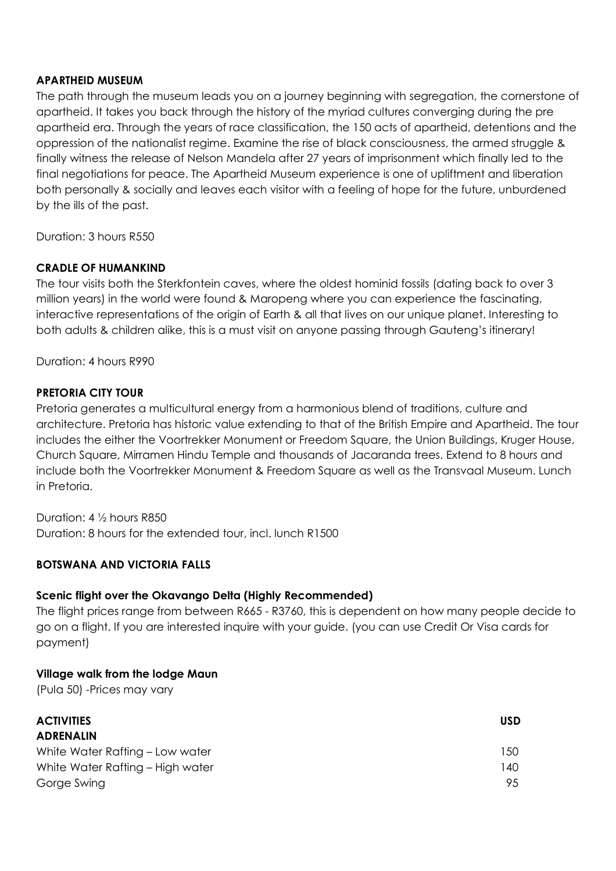#### **APARTHEID MUSEUM**

The path through the museum leads you on a journey beginning with segregation, the cornerstone of apartheid. It takes you back through the history of the myriad cultures converging during the pre apartheid era. Through the years of race classification, the 150 acts of apartheid, detentions and the oppression of the nationalist regime. Examine the rise of black consciousness, the armed struggle & finally witness the release of Nelson Mandela after 27 years of imprisonment which finally led to the final negotiations for peace. The Apartheid Museum experience is one of upliftment and liberation both personally & socially and leaves each visitor with a feeling of hope for the future, unburdened by the ills of the past.

Duration: 3 hours R550

#### **CRADLE OF HUMANKIND**

The tour visits both the Sterkfontein caves, where the oldest hominid fossils (dating back to over 3 million years) in the world were found & Maropeng where you can experience the fascinating, interactive representations of the origin of Earth & all that lives on our unique planet. Interesting to both adults & children alike, this is a must visit on anyone passing through Gauteng's itinerary!

Duration: 4 hours R990

#### **PRETORIA CITY TOUR**

Pretoria generates a multicultural energy from a harmonious blend of traditions, culture and architecture. Pretoria has historic value extending to that of the British Empire and Apartheid. The tour includes the either the Voortrekker Monument or Freedom Square, the Union Buildings, Kruger House, Church Square, Mirramen Hindu Temple and thousands of Jacaranda trees. Extend to 8 hours and include both the Voortrekker Monument & Freedom Square as well as the Transvaal Museum. Lunch in Pretoria.

Duration: 4 ½ hours R850 Duration: 8 hours for the extended tour, incl. lunch R1500

#### **BOTSWANA AND VICTORIA FALLS**

#### **Scenic flight over the Okavango Delta (Highly Recommended)**

The flight prices range from between R665 - R3760, this is dependent on how many people decide to go on a flight. If you are interested inquire with your guide. (you can use Credit Or Visa cards for payment)

#### **Village walk from the lodge Maun**

(Pula 50) -Prices may vary

| <b>ACTIVITIES</b>                | <b>USD</b> |
|----------------------------------|------------|
| <b>ADRENALIN</b>                 |            |
| White Water Rafting – Low water  | 150        |
| White Water Rafting - High water | 140        |
| Gorge Swing                      | 95         |